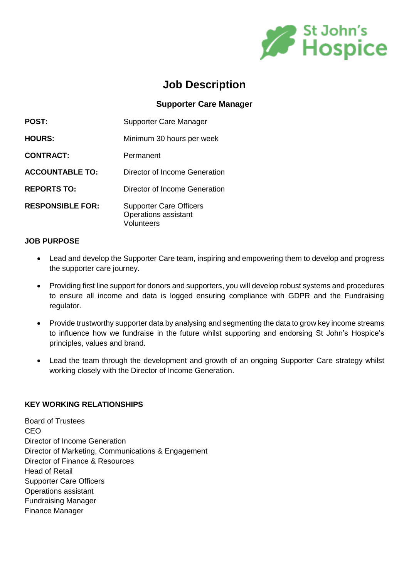

# **Job Description**

# **Supporter Care Manager**

| <b>POST:</b>            | Supporter Care Manager                                                      |
|-------------------------|-----------------------------------------------------------------------------|
| <b>HOURS:</b>           | Minimum 30 hours per week                                                   |
| <b>CONTRACT:</b>        | Permanent                                                                   |
| <b>ACCOUNTABLE TO:</b>  | Director of Income Generation                                               |
| <b>REPORTS TO:</b>      | Director of Income Generation                                               |
| <b>RESPONSIBLE FOR:</b> | <b>Supporter Care Officers</b><br>Operations assistant<br><b>Volunteers</b> |

#### **JOB PURPOSE**

- Lead and develop the Supporter Care team, inspiring and empowering them to develop and progress the supporter care journey.
- Providing first line support for donors and supporters, you will develop robust systems and procedures to ensure all income and data is logged ensuring compliance with GDPR and the Fundraising regulator.
- Provide trustworthy supporter data by analysing and segmenting the data to grow key income streams to influence how we fundraise in the future whilst supporting and endorsing St John's Hospice's principles, values and brand.
- Lead the team through the development and growth of an ongoing Supporter Care strategy whilst working closely with the Director of Income Generation.

# **KEY WORKING RELATIONSHIPS**

Board of Trustees CEO Director of Income Generation Director of Marketing, Communications & Engagement Director of Finance & Resources Head of Retail Supporter Care Officers Operations assistant Fundraising Manager Finance Manager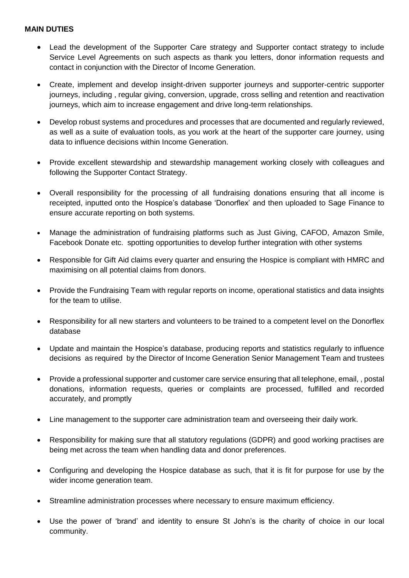#### **MAIN DUTIES**

- Lead the development of the Supporter Care strategy and Supporter contact strategy to include Service Level Agreements on such aspects as thank you letters, donor information requests and contact in conjunction with the Director of Income Generation.
- Create, implement and develop insight-driven supporter journeys and supporter-centric supporter journeys, including , regular giving, conversion, upgrade, cross selling and retention and reactivation journeys, which aim to increase engagement and drive long-term relationships.
- Develop robust systems and procedures and processes that are documented and regularly reviewed, as well as a suite of evaluation tools, as you work at the heart of the supporter care journey, using data to influence decisions within Income Generation.
- Provide excellent stewardship and stewardship management working closely with colleagues and following the Supporter Contact Strategy.
- Overall responsibility for the processing of all fundraising donations ensuring that all income is receipted, inputted onto the Hospice's database 'Donorflex' and then uploaded to Sage Finance to ensure accurate reporting on both systems.
- Manage the administration of fundraising platforms such as Just Giving, CAFOD, Amazon Smile, Facebook Donate etc. spotting opportunities to develop further integration with other systems
- Responsible for Gift Aid claims every quarter and ensuring the Hospice is compliant with HMRC and maximising on all potential claims from donors.
- Provide the Fundraising Team with regular reports on income, operational statistics and data insights for the team to utilise.
- Responsibility for all new starters and volunteers to be trained to a competent level on the Donorflex database
- Update and maintain the Hospice's database, producing reports and statistics regularly to influence decisions as required by the Director of Income Generation Senior Management Team and trustees
- Provide a professional supporter and customer care service ensuring that all telephone, email, , postal donations, information requests, queries or complaints are processed, fulfilled and recorded accurately, and promptly
- Line management to the supporter care administration team and overseeing their daily work.
- Responsibility for making sure that all statutory regulations (GDPR) and good working practises are being met across the team when handling data and donor preferences.
- Configuring and developing the Hospice database as such, that it is fit for purpose for use by the wider income generation team.
- Streamline administration processes where necessary to ensure maximum efficiency.
- Use the power of 'brand' and identity to ensure St John's is the charity of choice in our local community.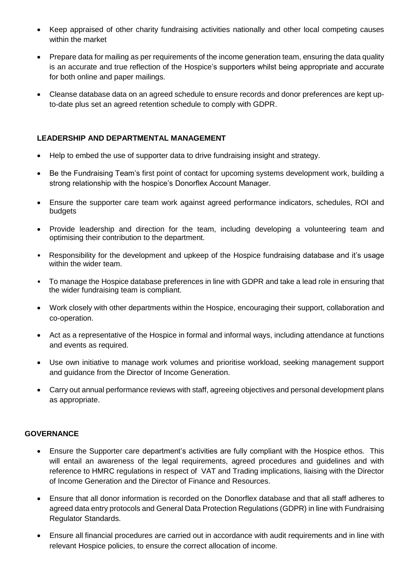- Keep appraised of other charity fundraising activities nationally and other local competing causes within the market
- Prepare data for mailing as per requirements of the income generation team, ensuring the data quality is an accurate and true reflection of the Hospice's supporters whilst being appropriate and accurate for both online and paper mailings.
- Cleanse database data on an agreed schedule to ensure records and donor preferences are kept upto-date plus set an agreed retention schedule to comply with GDPR.

## **LEADERSHIP AND DEPARTMENTAL MANAGEMENT**

- Help to embed the use of supporter data to drive fundraising insight and strategy.
- Be the Fundraising Team's first point of contact for upcoming systems development work, building a strong relationship with the hospice's Donorflex Account Manager.
- Ensure the supporter care team work against agreed performance indicators, schedules, ROI and budgets
- Provide leadership and direction for the team, including developing a volunteering team and optimising their contribution to the department.
- Responsibility for the development and upkeep of the Hospice fundraising database and it's usage within the wider team.
- To manage the Hospice database preferences in line with GDPR and take a lead role in ensuring that the wider fundraising team is compliant.
- Work closely with other departments within the Hospice, encouraging their support, collaboration and co-operation.
- Act as a representative of the Hospice in formal and informal ways, including attendance at functions and events as required.
- Use own initiative to manage work volumes and prioritise workload, seeking management support and guidance from the Director of Income Generation.
- Carry out annual performance reviews with staff, agreeing objectives and personal development plans as appropriate.

# **GOVERNANCE**

- Ensure the Supporter care department's activities are fully compliant with the Hospice ethos. This will entail an awareness of the legal requirements, agreed procedures and guidelines and with reference to HMRC regulations in respect of VAT and Trading implications, liaising with the Director of Income Generation and the Director of Finance and Resources.
- Ensure that all donor information is recorded on the Donorflex database and that all staff adheres to agreed data entry protocols and General Data Protection Regulations (GDPR) in line with Fundraising Regulator Standards.
- Ensure all financial procedures are carried out in accordance with audit requirements and in line with relevant Hospice policies, to ensure the correct allocation of income.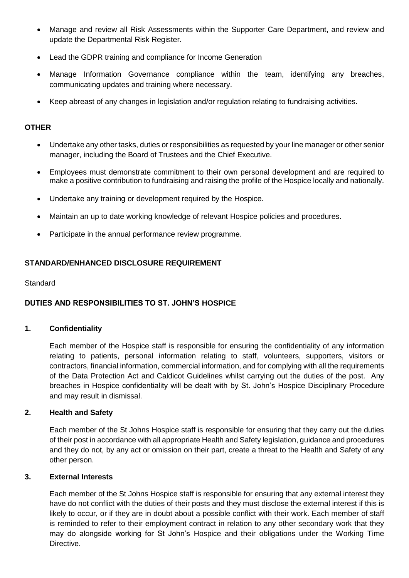- Manage and review all Risk Assessments within the Supporter Care Department, and review and update the Departmental Risk Register.
- Lead the GDPR training and compliance for Income Generation
- Manage Information Governance compliance within the team, identifying any breaches, communicating updates and training where necessary.
- Keep abreast of any changes in legislation and/or regulation relating to fundraising activities.

# **OTHER**

- Undertake any other tasks, duties or responsibilities as requested by your line manager or other senior manager, including the Board of Trustees and the Chief Executive.
- Employees must demonstrate commitment to their own personal development and are required to make a positive contribution to fundraising and raising the profile of the Hospice locally and nationally.
- Undertake any training or development required by the Hospice.
- Maintain an up to date working knowledge of relevant Hospice policies and procedures.
- Participate in the annual performance review programme.

# **STANDARD/ENHANCED DISCLOSURE REQUIREMENT**

#### **Standard**

# **DUTIES AND RESPONSIBILITIES TO ST. JOHN'S HOSPICE**

### **1. Confidentiality**

Each member of the Hospice staff is responsible for ensuring the confidentiality of any information relating to patients, personal information relating to staff, volunteers, supporters, visitors or contractors, financial information, commercial information, and for complying with all the requirements of the Data Protection Act and Caldicot Guidelines whilst carrying out the duties of the post. Any breaches in Hospice confidentiality will be dealt with by St. John's Hospice Disciplinary Procedure and may result in dismissal.

# **2. Health and Safety**

Each member of the St Johns Hospice staff is responsible for ensuring that they carry out the duties of their post in accordance with all appropriate Health and Safety legislation, guidance and procedures and they do not, by any act or omission on their part, create a threat to the Health and Safety of any other person.

#### **3. External Interests**

Each member of the St Johns Hospice staff is responsible for ensuring that any external interest they have do not conflict with the duties of their posts and they must disclose the external interest if this is likely to occur, or if they are in doubt about a possible conflict with their work. Each member of staff is reminded to refer to their employment contract in relation to any other secondary work that they may do alongside working for St John's Hospice and their obligations under the Working Time Directive.